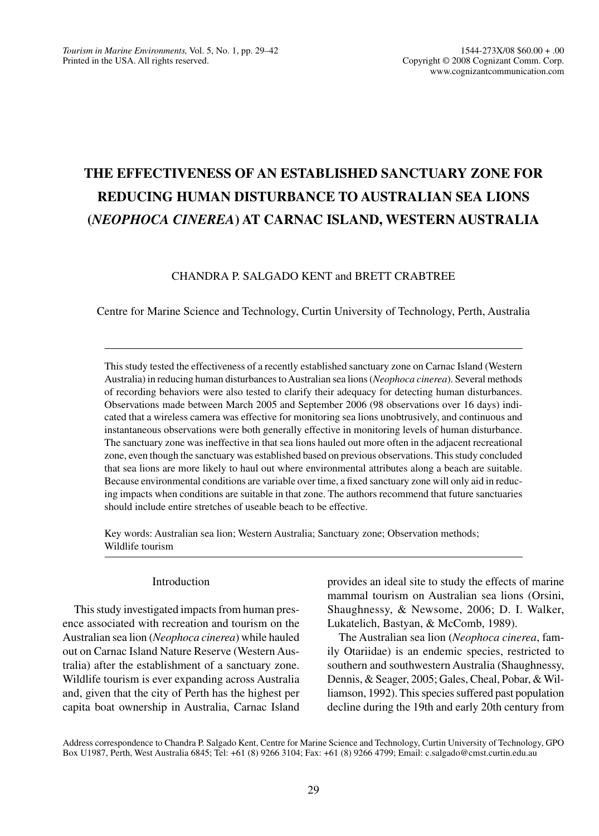# **THE EFFECTIVENESS OF AN ESTABLISHED SANCTUARY ZONE FOR REDUCING HUMAN DISTURBANCE TO AUSTRALIAN SEA LIONS (***NEOPHOCA CINEREA***) AT CARNAC ISLAND, WESTERN AUSTRALIA**

# CHANDRA P. SALGADO KENT and BRETT CRABTREE

Centre for Marine Science and Technology, Curtin University of Technology, Perth, Australia

This study tested the effectiveness of a recently established sanctuary zone on Carnac Island (Western Australia) in reducing human disturbances to Australian sea lions (*Neophoca cinerea*). Several methods of recording behaviors were also tested to clarify their adequacy for detecting human disturbances. Observations made between March 2005 and September 2006 (98 observations over 16 days) indicated that a wireless camera was effective for monitoring sea lions unobtrusively, and continuous and instantaneous observations were both generally effective in monitoring levels of human disturbance. The sanctuary zone was ineffective in that sea lions hauled out more often in the adjacent recreational zone, even though the sanctuary was established based on previous observations. This study concluded that sea lions are more likely to haul out where environmental attributes along a beach are suitable. Because environmental conditions are variable over time, a fixed sanctuary zone will only aid in reducing impacts when conditions are suitable in that zone. The authors recommend that future sanctuaries should include entire stretches of useable beach to be effective.

Key words: Australian sea lion; Western Australia; Sanctuary zone; Observation methods; Wildlife tourism

## Introduction

 This study investigated impacts from human presence associated with recreation and tourism on the Australian sea lion (*Neophoca cinerea*) while hauled out on Carnac Island Nature Reserve (Western Australia) after the establishment of a sanctuary zone. Wildlife tourism is ever expanding across Australia and, given that the city of Perth has the highest per capita boat ownership in Australia, Carnac Island provides an ideal site to study the effects of marine mammal tourism on Australian sea lions (Orsini, Shaughnessy, & Newsome, 2006; D. I. Walker, Lukatelich, Bastyan, & McComb, 1989).

 The Australian sea lion (*Neophoca cinerea*, family Otariidae) is an endemic species, restricted to southern and southwestern Australia (Shaughnessy, Dennis, & Seager, 2005; Gales, Cheal, Pobar, & Williamson, 1992). This species suffered past population decline during the 19th and early 20th century from

Address correspondence to Chandra P. Salgado Kent, Centre for Marine Science and Technology, Curtin University of Technology, GPO Box U1987, Perth, West Australia 6845; Tel: +61 (8) 9266 3104; Fax: +61 (8) 9266 4799; Email: c.salgado@cmst.curtin.edu.au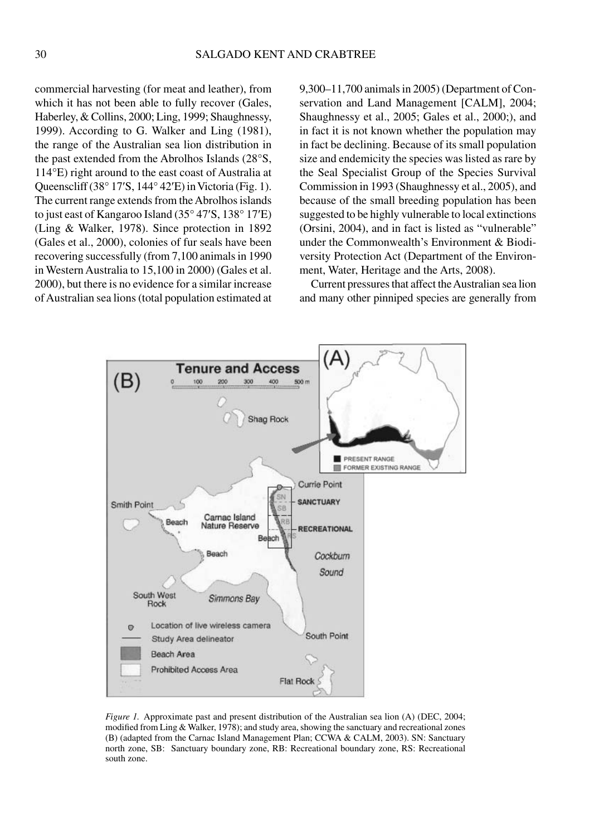commercial harvesting (for meat and leather), from which it has not been able to fully recover (Gales, Haberley, & Collins, 2000; Ling, 1999; Shaughnessy, 1999). According to G. Walker and Ling (1981), the range of the Australian sea lion distribution in the past extended from the Abrolhos Islands (28°S, 114°E) right around to the east coast of Australia at Queenscliff (38° 17′S, 144° 42′E) in Victoria (Fig. 1). The current range extends from the Abrolhos islands to just east of Kangaroo Island (35° 47′S, 138° 17′E) (Ling & Walker, 1978). Since protection in 1892 (Gales et al., 2000), colonies of fur seals have been recovering successfully (from 7,100 animals in 1990 in Western Australia to 15,100 in 2000) (Gales et al. 2000), but there is no evidence for a similar increase of Australian sea lions (total population estimated at 9,300–11,700 animals in 2005) (Department of Conservation and Land Management [CALM], 2004; Shaughnessy et al., 2005; Gales et al., 2000;), and in fact it is not known whether the population may in fact be declining. Because of its small population size and endemicity the species was listed as rare by the Seal Specialist Group of the Species Survival Commission in 1993 (Shaughnessy et al., 2005), and because of the small breeding population has been suggested to be highly vulnerable to local extinctions (Orsini, 2004), and in fact is listed as "vulnerable" under the Commonwealth's Environment & Biodiversity Protection Act (Department of the Environment, Water, Heritage and the Arts, 2008).

 Current pressures that affect the Australian sea lion and many other pinniped species are generally from



*Figure 1.* Approximate past and present distribution of the Australian sea lion (A) (DEC, 2004; modified from Ling & Walker, 1978); and study area, showing the sanctuary and recreational zones (B) (adapted from the Carnac Island Management Plan; CCWA & CALM, 2003). SN: Sanctuary north zone, SB: Sanctuary boundary zone, RB: Recreational boundary zone, RS: Recreational south zone.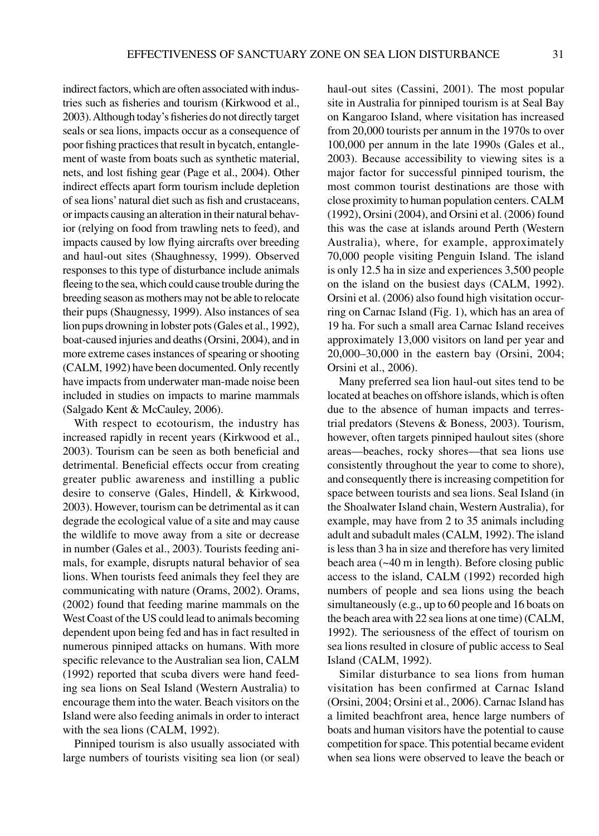indirect factors, which are often associated with industries such as fisheries and tourism (Kirkwood et al., 2003). Although today's fisheries do not directly target seals or sea lions, impacts occur as a consequence of poor fishing practices that result in bycatch, entanglement of waste from boats such as synthetic material, nets, and lost fishing gear (Page et al., 2004). Other indirect effects apart form tourism include depletion of sea lions' natural diet such as fish and crustaceans, or impacts causing an alteration in their natural behavior (relying on food from trawling nets to feed), and impacts caused by low flying aircrafts over breeding and haul-out sites (Shaughnessy, 1999). Observed responses to this type of disturbance include animals fleeing to the sea, which could cause trouble during the breeding season as mothers may not be able to relocate their pups (Shaugnessy, 1999). Also instances of sea lion pups drowning in lobster pots (Gales et al., 1992), boat-caused injuries and deaths (Orsini, 2004), and in more extreme cases instances of spearing or shooting (CALM, 1992) have been documented. Only recently have impacts from underwater man-made noise been included in studies on impacts to marine mammals (Salgado Kent & McCauley, 2006).

 With respect to ecotourism, the industry has increased rapidly in recent years (Kirkwood et al., 2003). Tourism can be seen as both beneficial and detrimental. Beneficial effects occur from creating greater public awareness and instilling a public desire to conserve (Gales, Hindell, & Kirkwood, 2003). However, tourism can be detrimental as it can degrade the ecological value of a site and may cause the wildlife to move away from a site or decrease in number (Gales et al., 2003). Tourists feeding animals, for example, disrupts natural behavior of sea lions. When tourists feed animals they feel they are communicating with nature (Orams, 2002). Orams, (2002) found that feeding marine mammals on the West Coast of the US could lead to animals becoming dependent upon being fed and has in fact resulted in numerous pinniped attacks on humans. With more specific relevance to the Australian sea lion, CALM (1992) reported that scuba divers were hand feeding sea lions on Seal Island (Western Australia) to encourage them into the water. Beach visitors on the Island were also feeding animals in order to interact with the sea lions (CALM, 1992).

 Pinniped tourism is also usually associated with large numbers of tourists visiting sea lion (or seal)

haul-out sites (Cassini, 2001). The most popular site in Australia for pinniped tourism is at Seal Bay on Kangaroo Island, where visitation has increased from 20,000 tourists per annum in the 1970s to over 100,000 per annum in the late 1990s (Gales et al., 2003). Because accessibility to viewing sites is a major factor for successful pinniped tourism, the most common tourist destinations are those with close proximity to human population centers. CALM (1992), Orsini (2004), and Orsini et al. (2006) found this was the case at islands around Perth (Western Australia), where, for example, approximately 70,000 people visiting Penguin Island. The island is only 12.5 ha in size and experiences 3,500 people on the island on the busiest days (CALM, 1992). Orsini et al. (2006) also found high visitation occurring on Carnac Island (Fig. 1), which has an area of 19 ha. For such a small area Carnac Island receives approximately 13,000 visitors on land per year and 20,000–30,000 in the eastern bay (Orsini, 2004; Orsini et al., 2006).

 Many preferred sea lion haul-out sites tend to be located at beaches on offshore islands, which is often due to the absence of human impacts and terrestrial predators (Stevens & Boness, 2003). Tourism, however, often targets pinniped haulout sites (shore areas—beaches, rocky shores—that sea lions use consistently throughout the year to come to shore), and consequently there is increasing competition for space between tourists and sea lions. Seal Island (in the Shoalwater Island chain, Western Australia), for example, may have from 2 to 35 animals including adult and subadult males (CALM, 1992). The island is less than 3 ha in size and therefore has very limited beach area (~40 m in length). Before closing public access to the island, CALM (1992) recorded high numbers of people and sea lions using the beach simultaneously (e.g., up to 60 people and 16 boats on the beach area with 22 sea lions at one time) (CALM, 1992). The seriousness of the effect of tourism on sea lions resulted in closure of public access to Seal Island (CALM, 1992).

 Similar disturbance to sea lions from human visitation has been confirmed at Carnac Island (Orsini, 2004; Orsini et al., 2006). Carnac Island has a limited beachfront area, hence large numbers of boats and human visitors have the potential to cause competition for space. This potential became evident when sea lions were observed to leave the beach or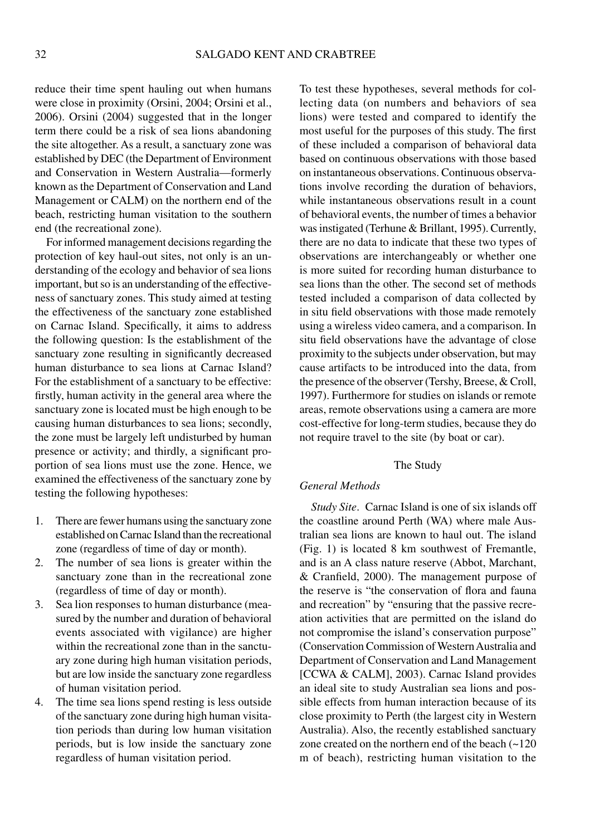reduce their time spent hauling out when humans were close in proximity (Orsini, 2004; Orsini et al., 2006). Orsini (2004) suggested that in the longer term there could be a risk of sea lions abandoning the site altogether. As a result, a sanctuary zone was established by DEC (the Department of Environment and Conservation in Western Australia—formerly known as the Department of Conservation and Land Management or CALM) on the northern end of the beach, restricting human visitation to the southern end (the recreational zone).

 For informed management decisions regarding the protection of key haul-out sites, not only is an understanding of the ecology and behavior of sea lions important, but so is an understanding of the effectiveness of sanctuary zones. This study aimed at testing the effectiveness of the sanctuary zone established on Carnac Island. Specifically, it aims to address the following question: Is the establishment of the sanctuary zone resulting in significantly decreased human disturbance to sea lions at Carnac Island? For the establishment of a sanctuary to be effective: firstly, human activity in the general area where the sanctuary zone is located must be high enough to be causing human disturbances to sea lions; secondly, the zone must be largely left undisturbed by human presence or activity; and thirdly, a significant proportion of sea lions must use the zone. Hence, we examined the effectiveness of the sanctuary zone by testing the following hypotheses:

- 1. There are fewer humans using the sanctuary zone established on Carnac Island than the recreational zone (regardless of time of day or month).
- 2. The number of sea lions is greater within the sanctuary zone than in the recreational zone (regardless of time of day or month).
- 3. Sea lion responses to human disturbance (measured by the number and duration of behavioral events associated with vigilance) are higher within the recreational zone than in the sanctuary zone during high human visitation periods, but are low inside the sanctuary zone regardless of human visitation period.
- 4. The time sea lions spend resting is less outside of the sanctuary zone during high human visitation periods than during low human visitation periods, but is low inside the sanctuary zone regardless of human visitation period.

To test these hypotheses, several methods for collecting data (on numbers and behaviors of sea lions) were tested and compared to identify the most useful for the purposes of this study. The first of these included a comparison of behavioral data based on continuous observations with those based on instantaneous observations. Continuous observations involve recording the duration of behaviors, while instantaneous observations result in a count of behavioral events, the number of times a behavior was instigated (Terhune & Brillant, 1995). Currently, there are no data to indicate that these two types of observations are interchangeably or whether one is more suited for recording human disturbance to sea lions than the other. The second set of methods tested included a comparison of data collected by in situ field observations with those made remotely using a wireless video camera, and a comparison. In situ field observations have the advantage of close proximity to the subjects under observation, but may cause artifacts to be introduced into the data, from the presence of the observer (Tershy, Breese, & Croll, 1997). Furthermore for studies on islands or remote areas, remote observations using a camera are more cost-effective for long-term studies, because they do not require travel to the site (by boat or car).

### The Study

## *General Methods*

*Study Site*. Carnac Island is one of six islands off the coastline around Perth (WA) where male Australian sea lions are known to haul out. The island (Fig. 1) is located 8 km southwest of Fremantle, and is an A class nature reserve (Abbot, Marchant, & Cranfield, 2000). The management purpose of the reserve is "the conservation of flora and fauna and recreation" by "ensuring that the passive recreation activities that are permitted on the island do not compromise the island's conservation purpose" (Conservation Commission of Western Australia and Department of Conservation and Land Management [CCWA & CALM], 2003). Carnac Island provides an ideal site to study Australian sea lions and possible effects from human interaction because of its close proximity to Perth (the largest city in Western Australia). Also, the recently established sanctuary zone created on the northern end of the beach (~120 m of beach), restricting human visitation to the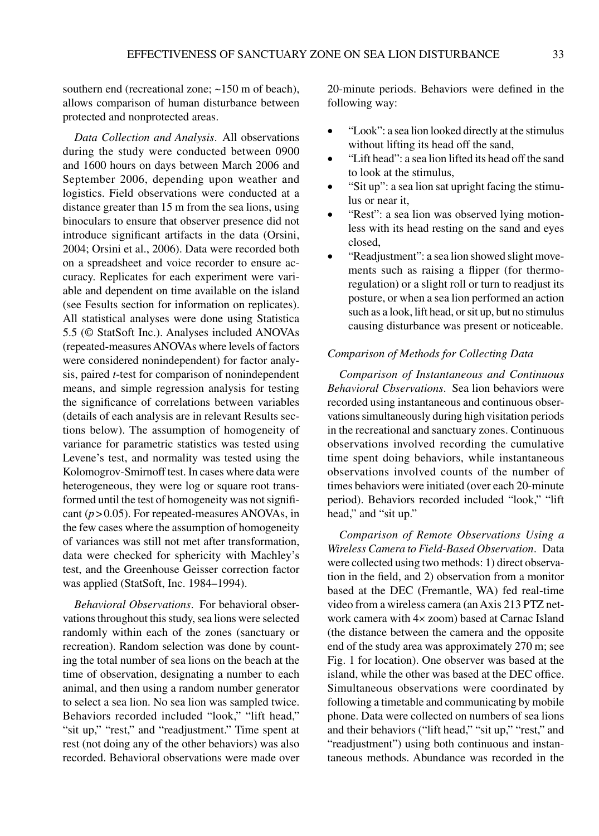southern end (recreational zone; ~150 m of beach), allows comparison of human disturbance between protected and nonprotected areas.

*Data Collection and Analysis*. All observations during the study were conducted between 0900 and 1600 hours on days between March 2006 and September 2006, depending upon weather and logistics. Field observations were conducted at a distance greater than 15 m from the sea lions, using binoculars to ensure that observer presence did not introduce significant artifacts in the data (Orsini, 2004; Orsini et al., 2006). Data were recorded both on a spreadsheet and voice recorder to ensure accuracy. Replicates for each experiment were variable and dependent on time available on the island (see Fesults section for information on replicates). All statistical analyses were done using Statistica 5.5 (© StatSoft Inc.). Analyses included ANOVAs (repeated-measures ANOVAs where levels of factors were considered nonindependent) for factor analysis, paired *t*-test for comparison of nonindependent means, and simple regression analysis for testing the significance of correlations between variables (details of each analysis are in relevant Results sections below). The assumption of homogeneity of variance for parametric statistics was tested using Levene's test, and normality was tested using the Kolomogrov-Smirnoff test. In cases where data were heterogeneous, they were log or square root transformed until the test of homogeneity was not significant (*p* > 0.05). For repeated-measures ANOVAs, in the few cases where the assumption of homogeneity of variances was still not met after transformation, data were checked for sphericity with Machley's test, and the Greenhouse Geisser correction factor was applied (StatSoft, Inc. 1984–1994).

*Behavioral Observations*. For behavioral observations throughout this study, sea lions were selected randomly within each of the zones (sanctuary or recreation). Random selection was done by counting the total number of sea lions on the beach at the time of observation, designating a number to each animal, and then using a random number generator to select a sea lion. No sea lion was sampled twice. Behaviors recorded included "look," "lift head," "sit up," "rest," and "readjustment." Time spent at rest (not doing any of the other behaviors) was also recorded. Behavioral observations were made over 20-minute periods. Behaviors were defined in the following way:

- "Look": a sea lion looked directly at the stimulus without lifting its head off the sand,
- "Lift head": a sea lion lifted its head off the sand to look at the stimulus,
- "Sit up": a sea lion sat upright facing the stimulus or near it,
- "Rest": a sea lion was observed lying motionless with its head resting on the sand and eyes closed,
- "Readjustment": a sea lion showed slight movements such as raising a flipper (for thermoregulation) or a slight roll or turn to readjust its posture, or when a sea lion performed an action such as a look, lift head, or sit up, but no stimulus causing disturbance was present or noticeable.

## *Comparison of Methods for Collecting Data*

*Comparison of Instantaneous and Continuous Behavioral Cbservations*. Sea lion behaviors were recorded using instantaneous and continuous observations simultaneously during high visitation periods in the recreational and sanctuary zones. Continuous observations involved recording the cumulative time spent doing behaviors, while instantaneous observations involved counts of the number of times behaviors were initiated (over each 20-minute period). Behaviors recorded included "look," "lift head," and "sit up."

*Comparison of Remote Observations Using a Wireless Camera to Field-Based Observation*. Data were collected using two methods: 1) direct observation in the field, and 2) observation from a monitor based at the DEC (Fremantle, WA) fed real-time video from a wireless camera (an Axis 213 PTZ network camera with 4× zoom) based at Carnac Island (the distance between the camera and the opposite end of the study area was approximately 270 m; see Fig. 1 for location). One observer was based at the island, while the other was based at the DEC office. Simultaneous observations were coordinated by following a timetable and communicating by mobile phone. Data were collected on numbers of sea lions and their behaviors ("lift head," "sit up," "rest," and "readjustment") using both continuous and instantaneous methods. Abundance was recorded in the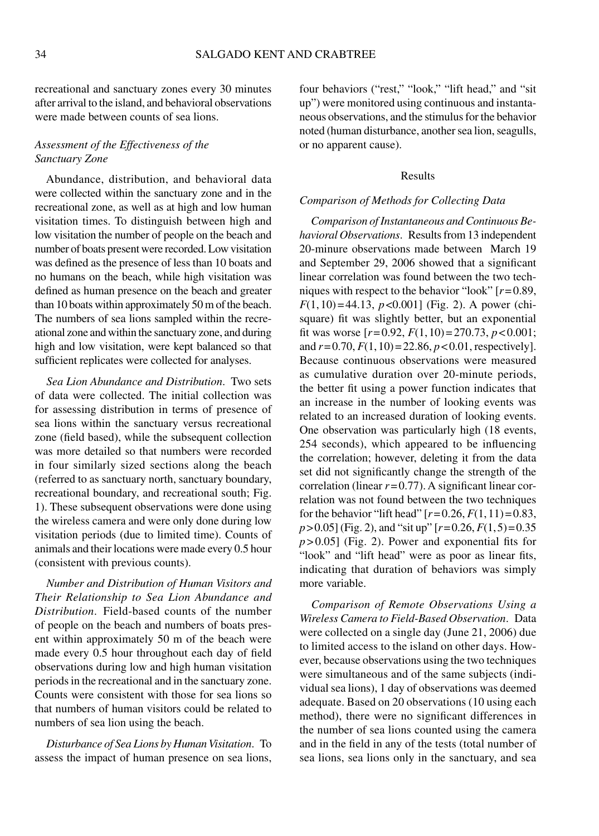recreational and sanctuary zones every 30 minutes after arrival to the island, and behavioral observations were made between counts of sea lions.

# *Assessment of the Effectiveness of the Sanctuary Zone*

 Abundance, distribution, and behavioral data were collected within the sanctuary zone and in the recreational zone, as well as at high and low human visitation times. To distinguish between high and low visitation the number of people on the beach and number of boats present were recorded. Low visitation was defined as the presence of less than 10 boats and no humans on the beach, while high visitation was defined as human presence on the beach and greater than 10 boats within approximately 50 m of the beach. The numbers of sea lions sampled within the recreational zone and within the sanctuary zone, and during high and low visitation, were kept balanced so that sufficient replicates were collected for analyses.

*Sea Lion Abundance and Distribution*. Two sets of data were collected. The initial collection was for assessing distribution in terms of presence of sea lions within the sanctuary versus recreational zone (field based), while the subsequent collection was more detailed so that numbers were recorded in four similarly sized sections along the beach (referred to as sanctuary north, sanctuary boundary, recreational boundary, and recreational south; Fig. 1). These subsequent observations were done using the wireless camera and were only done during low visitation periods (due to limited time). Counts of animals and their locations were made every 0.5 hour (consistent with previous counts).

*Number and Distribution of Human Visitors and Their Relationship to Sea Lion Abundance and Distribution*. Field-based counts of the number of people on the beach and numbers of boats present within approximately 50 m of the beach were made every 0.5 hour throughout each day of field observations during low and high human visitation periods in the recreational and in the sanctuary zone. Counts were consistent with those for sea lions so that numbers of human visitors could be related to numbers of sea lion using the beach.

*Disturbance of Sea Lions by Human Visitation*. To assess the impact of human presence on sea lions,

four behaviors ("rest," "look," "lift head," and "sit up") were monitored using continuous and instantaneous observations, and the stimulus for the behavior noted (human disturbance, another sea lion, seagulls, or no apparent cause).

### Results

#### *Comparison of Methods for Collecting Data*

*Comparison of Instantaneous and Continuous Behavioral Observations*. Results from 13 independent 20-minure observations made between March 19 and September 29, 2006 showed that a significant linear correlation was found between the two techniques with respect to the behavior "look"  $[r=0.89]$ ,  $F(1, 10) = 44.13$ ,  $p < 0.001$ ] (Fig. 2). A power (chisquare) fit was slightly better, but an exponential fit was worse  $[r=0.92, F(1, 10) = 270.73, p < 0.001;$ and  $r = 0.70$ ,  $F(1, 10) = 22.86$ ,  $p < 0.01$ , respectively]. Because continuous observations were measured as cumulative duration over 20-minute periods, the better fit using a power function indicates that an increase in the number of looking events was related to an increased duration of looking events. One observation was particularly high (18 events, 254 seconds), which appeared to be influencing the correlation; however, deleting it from the data set did not significantly change the strength of the correlation (linear  $r = 0.77$ ). A significant linear correlation was not found between the two techniques for the behavior "lift head"  $[r=0.26, F(1, 11) = 0.83$ , *p* > 0.05] (Fig. 2), and "sit up" [*r* = 0.26, *F*(1, 5) = 0.35  $p > 0.05$  (Fig. 2). Power and exponential fits for "look" and "lift head" were as poor as linear fits, indicating that duration of behaviors was simply more variable.

*Comparison of Remote Observations Using a Wireless Camera to Field-Based Observation*. Data were collected on a single day (June 21, 2006) due to limited access to the island on other days. However, because observations using the two techniques were simultaneous and of the same subjects (individual sea lions), 1 day of observations was deemed adequate. Based on 20 observations (10 using each method), there were no significant differences in the number of sea lions counted using the camera and in the field in any of the tests (total number of sea lions, sea lions only in the sanctuary, and sea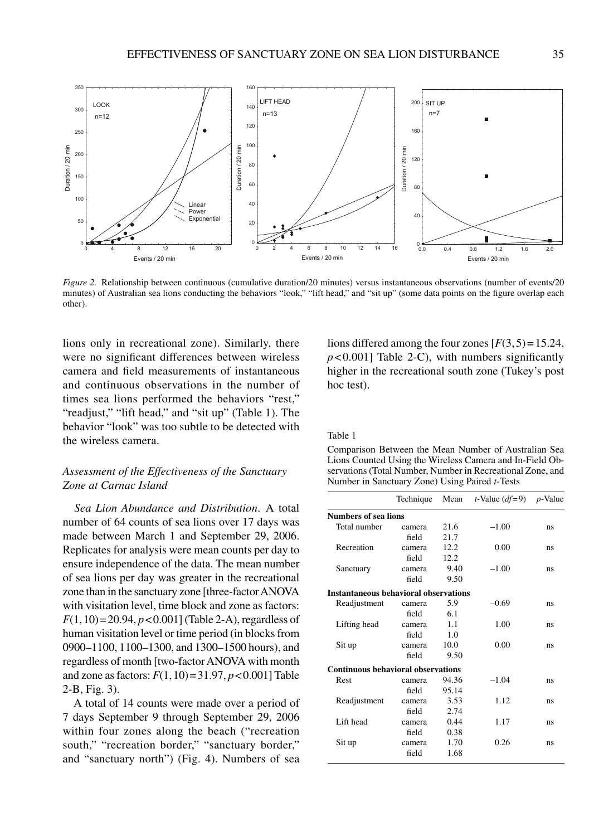

*Figure 2.* Relationship between continuous (cumulative duration/20 minutes) versus instantaneous observations (number of events/20 minutes) of Australian sea lions conducting the behaviors "look," "lift head," and "sit up" (some data points on the figure overlap each other).

lions only in recreational zone). Similarly, there were no significant differences between wireless camera and field measurements of instantaneous and continuous observations in the number of times sea lions performed the behaviors "rest," "readjust," "lift head," and "sit up" (Table 1). The behavior "look" was too subtle to be detected with the wireless camera.

# *Assessment of the Effectiveness of the Sanctuary Zone at Carnac Island*

*Sea Lion Abundance and Distribution*. A total number of 64 counts of sea lions over 17 days was made between March 1 and September 29, 2006. Replicates for analysis were mean counts per day to ensure independence of the data. The mean number of sea lions per day was greater in the recreational zone than in the sanctuary zone [three-factor ANOVA with visitation level, time block and zone as factors: *F*(1, 10) = 20.94, *p* < 0.001] (Table 2-A), regardless of human visitation level or time period (in blocks from 0900–1100, 1100–1300, and 1300–1500 hours), and regardless of month [two-factor ANOVA with month and zone as factors: *F*(1, 10) = 31.97, *p* < 0.001] Table 2-B, Fig. 3).

 A total of 14 counts were made over a period of 7 days September 9 through September 29, 2006 within four zones along the beach ("recreation south," "recreation border," "sanctuary border," and "sanctuary north") (Fig. 4). Numbers of sea

lions differed among the four zones  $[F(3, 5) = 15.24]$ ,  $p$  < 0.001] Table 2-C), with numbers significantly higher in the recreational south zone (Tukey's post hoc test).

Table 1

Comparison Between the Mean Number of Australian Sea Lions Counted Using the Wireless Camera and In-Field Observations (Total Number, Number in Recreational Zone, and Number in Sanctuary Zone) Using Paired *t*-Tests

|                                              | Technique | Mean  | <i>t</i> -Value $(df=9)$ | $p$ -Value |
|----------------------------------------------|-----------|-------|--------------------------|------------|
| <b>Numbers of sea lions</b>                  |           |       |                          |            |
| Total number                                 | camera    | 21.6  | $-1.00$                  | ns         |
|                                              | field     | 21.7  |                          |            |
| Recreation                                   | camera    | 12.2  | 0.00                     | ns         |
|                                              | field     | 12.2  |                          |            |
| Sanctuary                                    | camera    | 9.40  | $-1.00$                  | ns         |
|                                              | field     | 9.50  |                          |            |
| <b>Instantaneous behavioral observations</b> |           |       |                          |            |
| Readjustment                                 | camera    | 5.9   | $-0.69$                  | ns         |
|                                              | field     | 6.1   |                          |            |
| Lifting head                                 | camera    | 1.1   | 1.00                     | ns         |
|                                              | field     | 1.0   |                          |            |
| Sit up                                       | camera    | 10.0  | 0.00                     | ns         |
|                                              | field     | 9.50  |                          |            |
| <b>Continuous behavioral observations</b>    |           |       |                          |            |
| Rest                                         | camera    | 94.36 | $-1.04$                  | ns         |
|                                              | field     | 95.14 |                          |            |
| Readjustment                                 | camera    | 3.53  | 1.12                     | ns         |
|                                              | field     | 2.74  |                          |            |
| Lift head                                    | camera    | 0.44  | 1.17                     | ns         |
|                                              | field     | 0.38  |                          |            |
| Sit up                                       | camera    | 1.70  | 0.26                     | ns         |
|                                              | field     | 1.68  |                          |            |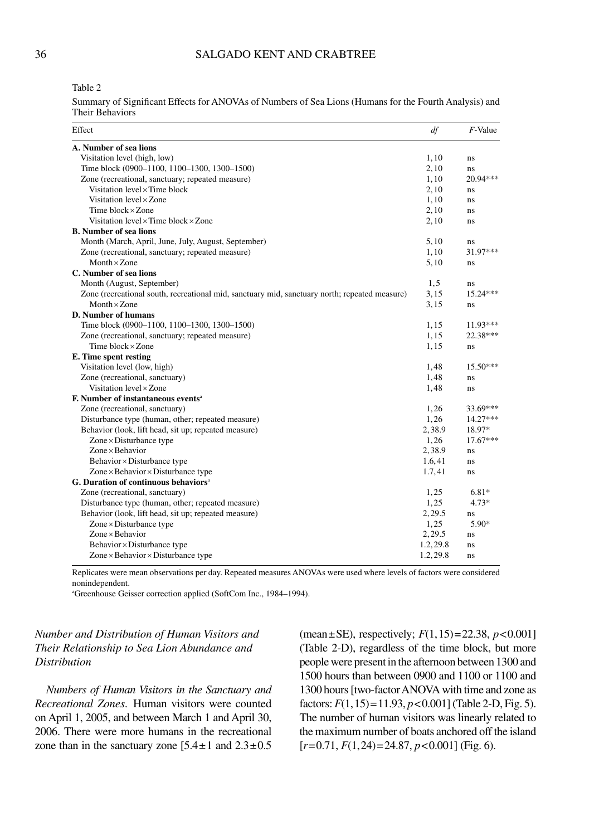Table 2

Summary of Significant Effects for ANOVAs of Numbers of Sea Lions (Humans for the Fourth Analysis) and Their Behaviors

| Effect                                                                                        | df        | $F$ -Value |
|-----------------------------------------------------------------------------------------------|-----------|------------|
| A. Number of sea lions                                                                        |           |            |
| Visitation level (high, low)                                                                  | 1,10      | ns         |
| Time block (0900-1100, 1100-1300, 1300-1500)                                                  | 2,10      | ns         |
| Zone (recreational, sanctuary; repeated measure)                                              | 1,10      | 20.94***   |
| Visitation level × Time block                                                                 | 2,10      | ns         |
| Visitation level × Zone                                                                       | 1,10      | ns         |
| Time block $\times$ Zone                                                                      | 2,10      | ns         |
| Visitation level $\times$ Time block $\times$ Zone                                            | 2,10      | ns         |
| <b>B.</b> Number of sea lions                                                                 |           |            |
| Month (March, April, June, July, August, September)                                           | 5,10      | ns         |
| Zone (recreational, sanctuary; repeated measure)                                              | 1,10      | 31.97***   |
| $Month \times Z$ one                                                                          | 5,10      | ns         |
| C. Number of sea lions                                                                        |           |            |
| Month (August, September)                                                                     | 1, 5      | ns         |
| Zone (recreational south, recreational mid, sanctuary mid, sanctuary north; repeated measure) | 3,15      | 15.24***   |
| $Month \times Z$ one                                                                          | 3,15      | ns         |
| D. Number of humans                                                                           |           |            |
| Time block (0900-1100, 1100-1300, 1300-1500)                                                  | 1,15      | 11.93***   |
| Zone (recreational, sanctuary; repeated measure)                                              | 1,15      | 22.38***   |
| Time block × Zone                                                                             | 1,15      | ns         |
| E. Time spent resting                                                                         |           |            |
| Visitation level (low, high)                                                                  | 1,48      | $15.50***$ |
| Zone (recreational, sanctuary)                                                                | 1,48      | ns         |
| Visitation level × Zone                                                                       | 1,48      | ns         |
| F. Number of instantaneous events <sup>a</sup>                                                |           |            |
| Zone (recreational, sanctuary)                                                                | 1,26      | 33.69***   |
| Disturbance type (human, other; repeated measure)                                             | 1,26      | 14.27***   |
| Behavior (look, lift head, sit up; repeated measure)                                          | 2,38.9    | 18.97*     |
| Zone $\times$ Disturbance type                                                                | 1,26      | 17.67***   |
| $Zone \times Behavior$                                                                        | 2,38.9    | ns         |
| Behavior × Disturbance type                                                                   | 1.6,41    | ns         |
| Zone × Behavior × Disturbance type                                                            | 1.7,41    | ns         |
| G. Duration of continuous behaviors <sup>a</sup>                                              |           |            |
| Zone (recreational, sanctuary)                                                                | 1,25      | $6.81*$    |
| Disturbance type (human, other; repeated measure)                                             | 1,25      | $4.73*$    |
| Behavior (look, lift head, sit up; repeated measure)                                          | 2,29.5    | ns         |
| Zone $\times$ Disturbance type                                                                | 1,25      | $5.90*$    |
| Zone × Behavior                                                                               | 2,29.5    | ns         |
| Behavior × Disturbance type                                                                   | 1.2, 29.8 | ns         |
| Zone $\times$ Behavior $\times$ Disturbance type                                              | 1.2, 29.8 | ns         |

Replicates were mean observations per day. Repeated measures ANOVAs were used where levels of factors were considered nonindependent.

a Greenhouse Geisser correction applied (SoftCom Inc., 1984–1994).

*Number and Distribution of Human Visitors and Their Relationship to Sea Lion Abundance and Distribution*

*Numbers of Human Visitors in the Sanctuary and Recreational Zones*. Human visitors were counted on April 1, 2005, and between March 1 and April 30, 2006. There were more humans in the recreational zone than in the sanctuary zone  $[5.4 \pm 1$  and  $2.3 \pm 0.5$ 

(mean ± SE), respectively; *F*(1, 15) = 22.38, *p* < 0.001] (Table 2-D), regardless of the time block, but more people were present in the afternoon between 1300 and 1500 hours than between 0900 and 1100 or 1100 and 1300 hours [two-factor ANOVA with time and zone as factors:  $F(1, 15) = 11.93$ ,  $p < 0.001$  (Table 2-D, Fig. 5). The number of human visitors was linearly related to the maximum number of boats anchored off the island [*r* = 0.71, *F*(1, 24) = 24.87, *p* < 0.001] (Fig. 6).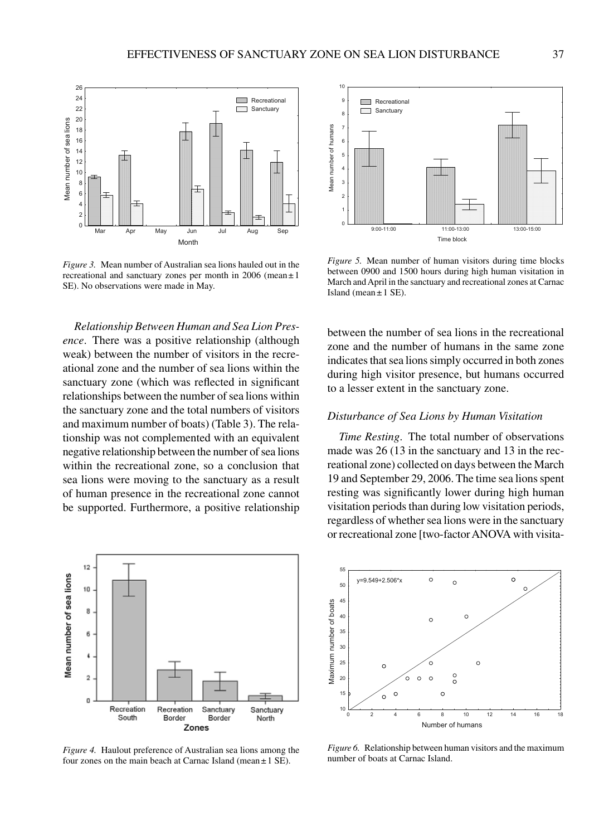

*Figure 3.* Mean number of Australian sea lions hauled out in the recreational and sanctuary zones per month in  $2006$  (mean  $\pm 1$ ) SE). No observations were made in May.

*Relationship Between Human and Sea Lion Presence*. There was a positive relationship (although weak) between the number of visitors in the recreational zone and the number of sea lions within the sanctuary zone (which was reflected in significant relationships between the number of sea lions within the sanctuary zone and the total numbers of visitors and maximum number of boats) (Table 3). The relationship was not complemented with an equivalent negative relationship between the number of sea lions within the recreational zone, so a conclusion that sea lions were moving to the sanctuary as a result of human presence in the recreational zone cannot be supported. Furthermore, a positive relationship



*Figure 4.* Haulout preference of Australian sea lions among the four zones on the main beach at Carnac Island (mean  $\pm$  1 SE).



*Figure 5.* Mean number of human visitors during time blocks between 0900 and 1500 hours during high human visitation in March and April in the sanctuary and recreational zones at Carnac Island (mean  $\pm$  1 SE).

between the number of sea lions in the recreational zone and the number of humans in the same zone indicates that sea lions simply occurred in both zones during high visitor presence, but humans occurred to a lesser extent in the sanctuary zone.

#### *Disturbance of Sea Lions by Human Visitation*

*Time Resting*. The total number of observations made was 26 (13 in the sanctuary and 13 in the recreational zone) collected on days between the March 19 and September 29, 2006. The time sea lions spent resting was significantly lower during high human visitation periods than during low visitation periods, regardless of whether sea lions were in the sanctuary or recreational zone [two-factor ANOVA with visita-



*Figure 6.* Relationship between human visitors and the maximum number of boats at Carnac Island.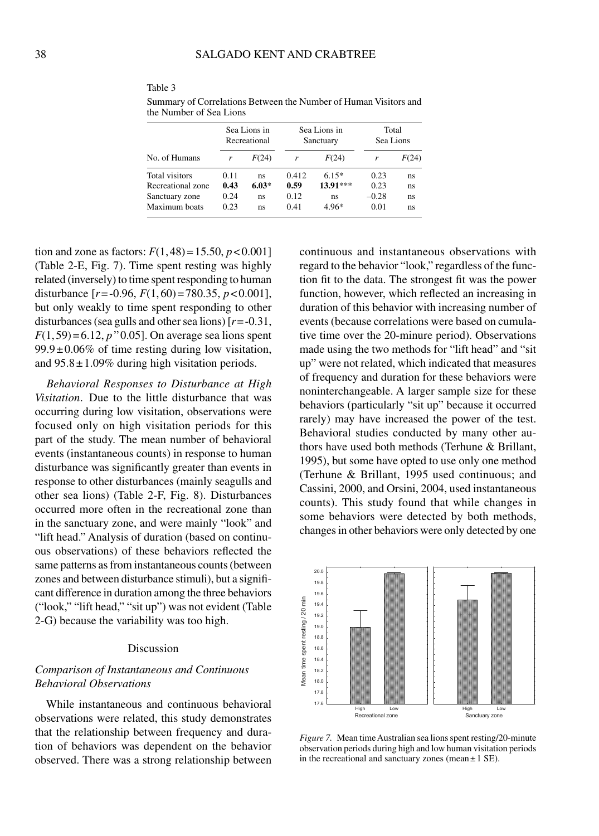| No. of Humans     | Sea Lions in<br>Recreational |         | Sea Lions in<br>Sanctuary |            | Total<br>Sea Lions |       |
|-------------------|------------------------------|---------|---------------------------|------------|--------------------|-------|
|                   |                              | F(24)   | r                         | F(24)      | r                  | F(24) |
| Total visitors    | 0.11                         | ns      | 0.412                     | $6.15*$    | 0.23               | ns    |
| Recreational zone | 0.43                         | $6.03*$ | 0.59                      | $13.91***$ | 0.23               | ns    |
| Sanctuary zone    | 0.24                         | ns      | 0.12                      | ns         | $-0.28$            | ns    |
| Maximum boats     | 0.23                         | ns      | 0.41                      | 4 96*      | 0.01               | ns    |

Summary of Correlations Between the Number of Human Visitors and the Number of Sea Lions

tion and zone as factors:  $F(1, 48) = 15.50, p < 0.001$ (Table 2-E, Fig. 7). Time spent resting was highly related (inversely) to time spent responding to human disturbance [*r* = -0.96, *F*(1, 60) = 780.35, *p* < 0.001], but only weakly to time spent responding to other disturbances (sea gulls and other sea lions)  $[r = -0.31]$ ,  $F(1, 59) = 6.12, p''0.05$ . On average sea lions spent  $99.9 \pm 0.06\%$  of time resting during low visitation, and  $95.8 \pm 1.09\%$  during high visitation periods.

Table 3

*Behavioral Responses to Disturbance at High Visitation*. Due to the little disturbance that was occurring during low visitation, observations were focused only on high visitation periods for this part of the study. The mean number of behavioral events (instantaneous counts) in response to human disturbance was significantly greater than events in response to other disturbances (mainly seagulls and other sea lions) (Table 2-F, Fig. 8). Disturbances occurred more often in the recreational zone than in the sanctuary zone, and were mainly "look" and "lift head." Analysis of duration (based on continuous observations) of these behaviors reflected the same patterns as from instantaneous counts (between zones and between disturbance stimuli), but a signifi cant difference in duration among the three behaviors ("look," "lift head," "sit up") was not evident (Table 2-G) because the variability was too high.

#### Discussion

## *Comparison of Instantaneous and Continuous Behavioral Observations*

 While instantaneous and continuous behavioral observations were related, this study demonstrates that the relationship between frequency and duration of behaviors was dependent on the behavior observed. There was a strong relationship between continuous and instantaneous observations with regard to the behavior "look," regardless of the function fit to the data. The strongest fit was the power function, however, which reflected an increasing in duration of this behavior with increasing number of events (because correlations were based on cumulative time over the 20-minure period). Observations made using the two methods for "lift head" and "sit up" were not related, which indicated that measures of frequency and duration for these behaviors were noninterchangeable. A larger sample size for these behaviors (particularly "sit up" because it occurred rarely) may have increased the power of the test. Behavioral studies conducted by many other authors have used both methods (Terhune & Brillant, 1995), but some have opted to use only one method (Terhune & Brillant, 1995 used continuous; and Cassini, 2000, and Orsini, 2004, used instantaneous counts). This study found that while changes in some behaviors were detected by both methods, changes in other behaviors were only detected by one



*Figure 7.* Mean time Australian sea lions spent resting/20-minute observation periods during high and low human visitation periods in the recreational and sanctuary zones (mean  $\pm$  1 SE).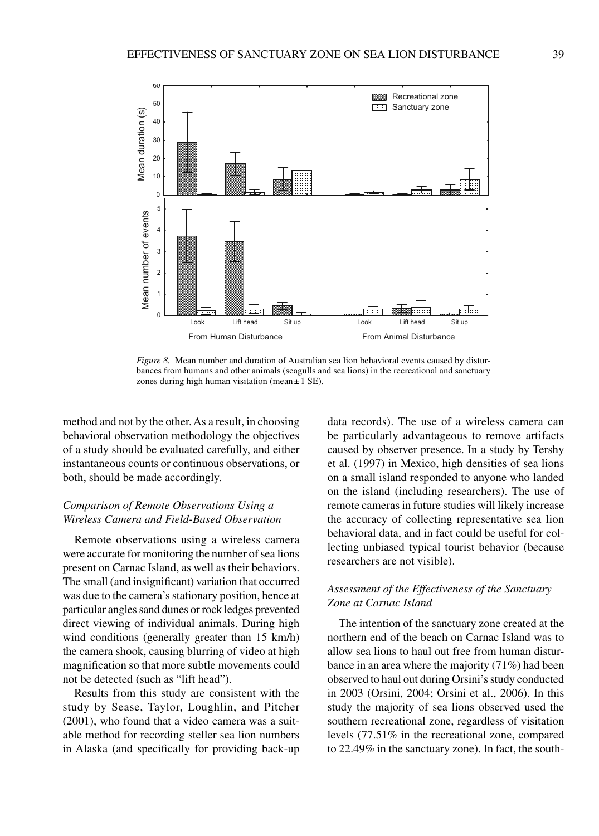

*Figure 8.* Mean number and duration of Australian sea lion behavioral events caused by disturbances from humans and other animals (seagulls and sea lions) in the recreational and sanctuary zones during high human visitation (mean  $\pm$  1 SE).

method and not by the other. As a result, in choosing behavioral observation methodology the objectives of a study should be evaluated carefully, and either instantaneous counts or continuous observations, or both, should be made accordingly.

## *Comparison of Remote Observations Using a Wireless Camera and Field-Based Observation*

 Remote observations using a wireless camera were accurate for monitoring the number of sea lions present on Carnac Island, as well as their behaviors. The small (and insignificant) variation that occurred was due to the camera's stationary position, hence at particular angles sand dunes or rock ledges prevented direct viewing of individual animals. During high wind conditions (generally greater than 15 km/h) the camera shook, causing blurring of video at high magnification so that more subtle movements could not be detected (such as "lift head").

 Results from this study are consistent with the study by Sease, Taylor, Loughlin, and Pitcher (2001), who found that a video camera was a suitable method for recording steller sea lion numbers in Alaska (and specifically for providing back-up

data records). The use of a wireless camera can be particularly advantageous to remove artifacts caused by observer presence. In a study by Tershy et al. (1997) in Mexico, high densities of sea lions on a small island responded to anyone who landed on the island (including researchers). The use of remote cameras in future studies will likely increase the accuracy of collecting representative sea lion behavioral data, and in fact could be useful for collecting unbiased typical tourist behavior (because researchers are not visible).

# *Assessment of the Effectiveness of the Sanctuary Zone at Carnac Island*

 The intention of the sanctuary zone created at the northern end of the beach on Carnac Island was to allow sea lions to haul out free from human disturbance in an area where the majority (71%) had been observed to haul out during Orsini's study conducted in 2003 (Orsini, 2004; Orsini et al., 2006). In this study the majority of sea lions observed used the southern recreational zone, regardless of visitation levels (77.51% in the recreational zone, compared to 22.49% in the sanctuary zone). In fact, the south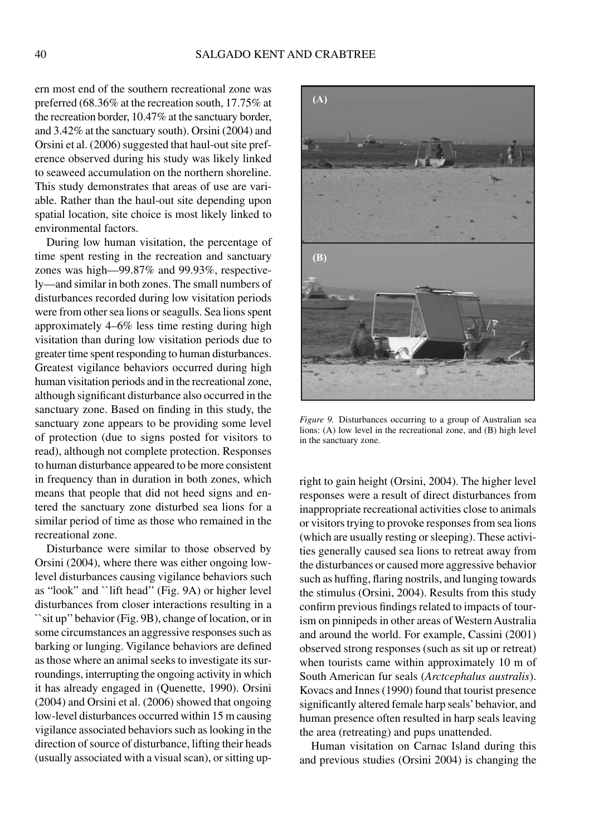ern most end of the southern recreational zone was preferred (68.36% at the recreation south, 17.75% at the recreation border, 10.47% at the sanctuary border, and 3.42% at the sanctuary south). Orsini (2004) and Orsini et al. (2006) suggested that haul-out site preference observed during his study was likely linked to seaweed accumulation on the northern shoreline. This study demonstrates that areas of use are variable. Rather than the haul-out site depending upon spatial location, site choice is most likely linked to environmental factors.

 During low human visitation, the percentage of time spent resting in the recreation and sanctuary zones was high—99.87% and 99.93%, respectively—and similar in both zones. The small numbers of disturbances recorded during low visitation periods were from other sea lions or seagulls. Sea lions spent approximately 4–6% less time resting during high visitation than during low visitation periods due to greater time spent responding to human disturbances. Greatest vigilance behaviors occurred during high human visitation periods and in the recreational zone, although significant disturbance also occurred in the sanctuary zone. Based on finding in this study, the sanctuary zone appears to be providing some level of protection (due to signs posted for visitors to read), although not complete protection. Responses to human disturbance appeared to be more consistent in frequency than in duration in both zones, which means that people that did not heed signs and entered the sanctuary zone disturbed sea lions for a similar period of time as those who remained in the recreational zone.

 Disturbance were similar to those observed by Orsini (2004), where there was either ongoing lowlevel disturbances causing vigilance behaviors such as "look" and ``lift head'' (Fig. 9A) or higher level disturbances from closer interactions resulting in a ``sit up'' behavior (Fig. 9B), change of location, or in some circumstances an aggressive responses such as barking or lunging. Vigilance behaviors are defined as those where an animal seeks to investigate its surroundings, interrupting the ongoing activity in which it has already engaged in (Quenette, 1990). Orsini (2004) and Orsini et al. (2006) showed that ongoing low-level disturbances occurred within 15 m causing vigilance associated behaviors such as looking in the direction of source of disturbance, lifting their heads (usually associated with a visual scan), or sitting up-



*Figure 9.* Disturbances occurring to a group of Australian sea lions: (A) low level in the recreational zone, and (B) high level in the sanctuary zone.

right to gain height (Orsini, 2004). The higher level responses were a result of direct disturbances from inappropriate recreational activities close to animals or visitors trying to provoke responses from sea lions (which are usually resting or sleeping). These activities generally caused sea lions to retreat away from the disturbances or caused more aggressive behavior such as huffing, flaring nostrils, and lunging towards the stimulus (Orsini, 2004). Results from this study confirm previous findings related to impacts of tourism on pinnipeds in other areas of Western Australia and around the world. For example, Cassini (2001) observed strong responses (such as sit up or retreat) when tourists came within approximately 10 m of South American fur seals (*Arctcephalus australis*). Kovacs and Innes (1990) found that tourist presence significantly altered female harp seals' behavior, and human presence often resulted in harp seals leaving the area (retreating) and pups unattended.

 Human visitation on Carnac Island during this and previous studies (Orsini 2004) is changing the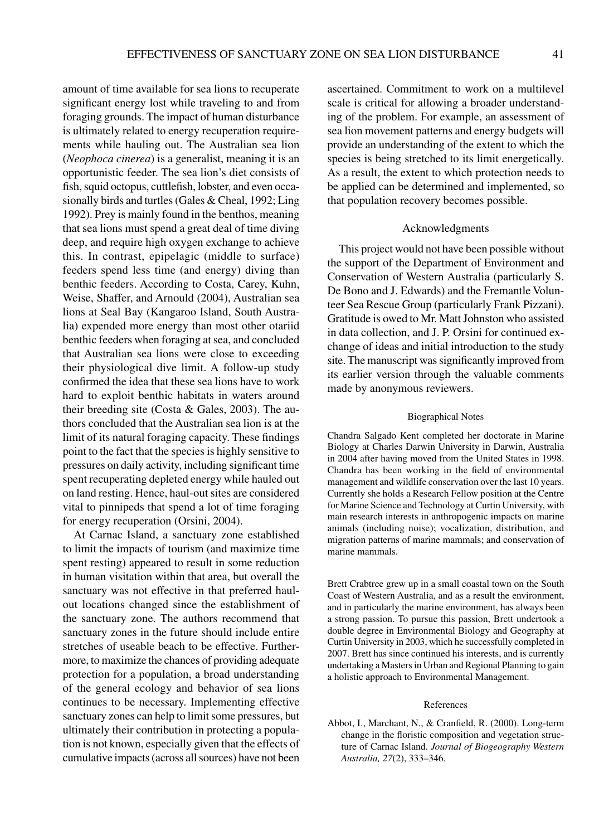amount of time available for sea lions to recuperate significant energy lost while traveling to and from foraging grounds. The impact of human disturbance is ultimately related to energy recuperation requirements while hauling out. The Australian sea lion (*Neophoca cinerea*) is a generalist, meaning it is an opportunistic feeder. The sea lion's diet consists of fish, squid octopus, cuttlefish, lobster, and even occasionally birds and turtles (Gales & Cheal, 1992; Ling 1992). Prey is mainly found in the benthos, meaning that sea lions must spend a great deal of time diving deep, and require high oxygen exchange to achieve this. In contrast, epipelagic (middle to surface) feeders spend less time (and energy) diving than benthic feeders. According to Costa, Carey, Kuhn, Weise, Shaffer, and Arnould (2004), Australian sea lions at Seal Bay (Kangaroo Island, South Australia) expended more energy than most other otariid benthic feeders when foraging at sea, and concluded that Australian sea lions were close to exceeding their physiological dive limit. A follow-up study confirmed the idea that these sea lions have to work hard to exploit benthic habitats in waters around their breeding site (Costa & Gales, 2003). The authors concluded that the Australian sea lion is at the limit of its natural foraging capacity. These findings point to the fact that the species is highly sensitive to pressures on daily activity, including significant time spent recuperating depleted energy while hauled out on land resting. Hence, haul-out sites are considered

for energy recuperation (Orsini, 2004). At Carnac Island, a sanctuary zone established to limit the impacts of tourism (and maximize time spent resting) appeared to result in some reduction in human visitation within that area, but overall the sanctuary was not effective in that preferred haulout locations changed since the establishment of the sanctuary zone. The authors recommend that sanctuary zones in the future should include entire stretches of useable beach to be effective. Furthermore, to maximize the chances of providing adequate protection for a population, a broad understanding of the general ecology and behavior of sea lions continues to be necessary. Implementing effective sanctuary zones can help to limit some pressures, but ultimately their contribution in protecting a population is not known, especially given that the effects of cumulative impacts (across all sources) have not been

vital to pinnipeds that spend a lot of time foraging

ascertained. Commitment to work on a multilevel scale is critical for allowing a broader understanding of the problem. For example, an assessment of sea lion movement patterns and energy budgets will provide an understanding of the extent to which the species is being stretched to its limit energetically. As a result, the extent to which protection needs to be applied can be determined and implemented, so that population recovery becomes possible.

## Acknowledgments

 This project would not have been possible without the support of the Department of Environment and Conservation of Western Australia (particularly S. De Bono and J. Edwards) and the Fremantle Volunteer Sea Rescue Group (particularly Frank Pizzani). Gratitude is owed to Mr. Matt Johnston who assisted in data collection, and J. P. Orsini for continued exchange of ideas and initial introduction to the study site. The manuscript was significantly improved from its earlier version through the valuable comments made by anonymous reviewers.

## Biographical Notes

Chandra Salgado Kent completed her doctorate in Marine Biology at Charles Darwin University in Darwin, Australia in 2004 after having moved from the United States in 1998. Chandra has been working in the field of environmental management and wildlife conservation over the last 10 years. Currently she holds a Research Fellow position at the Centre for Marine Science and Technology at Curtin University, with main research interests in anthropogenic impacts on marine animals (including noise); vocalization, distribution, and migration patterns of marine mammals; and conservation of marine mammals.

Brett Crabtree grew up in a small coastal town on the South Coast of Western Australia, and as a result the environment, and in particularly the marine environment, has always been a strong passion. To pursue this passion, Brett undertook a double degree in Environmental Biology and Geography at Curtin University in 2003, which he successfully completed in 2007. Brett has since continued his interests, and is currently undertaking a Masters in Urban and Regional Planning to gain a holistic approach to Environmental Management.

#### References

Abbot, I., Marchant, N., & Cranfield, R. (2000). Long-term change in the floristic composition and vegetation structure of Carnac Island. *Journal of Biogeography Western Australia, 27*(2), 333–346.